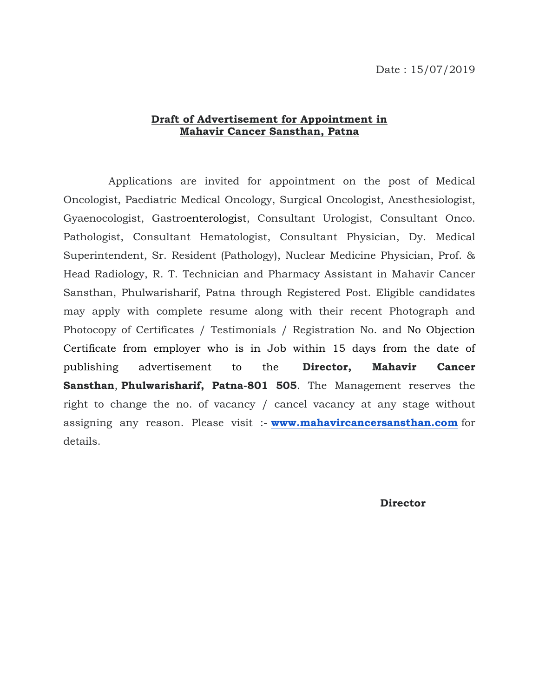## **Draft of Advertisement for Appointment in Mahavir Cancer Sansthan, Patna**

 Applications are invited for appointment on the post of Medical Oncologist, Paediatric Medical Oncology, Surgical Oncologist, Anesthesiologist, Gyaenocologist, Gastroenterologist, Consultant Urologist, Consultant Onco. Pathologist, Consultant Hematologist, Consultant Physician, Dy. Medical Superintendent, Sr. Resident (Pathology), Nuclear Medicine Physician, Prof. & Head Radiology, R. T. Technician and Pharmacy Assistant in Mahavir Cancer Sansthan, Phulwarisharif, Patna through Registered Post. Eligible candidates may apply with complete resume along with their recent Photograph and Photocopy of Certificates / Testimonials / Registration No. and No Objection Certificate from employer who is in Job within 15 days from the date of publishing advertisement to the **Director, Mahavir Cancer Sansthan**, **Phulwarisharif, Patna-801 505**. The Management reserves the right to change the no. of vacancy / cancel vacancy at any stage without assigning any reason. Please visit :- **[www.mahavircancersansthan.com](http://www.mahavircancersansthan.com/)** for details.

**Director**